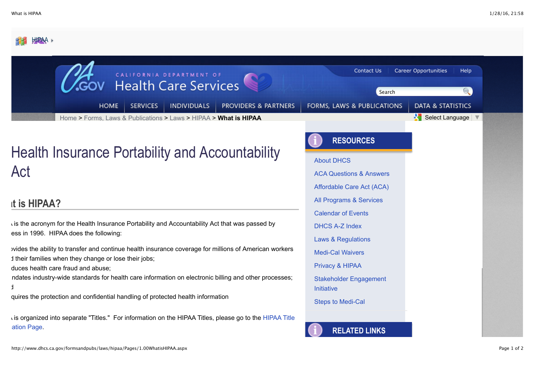